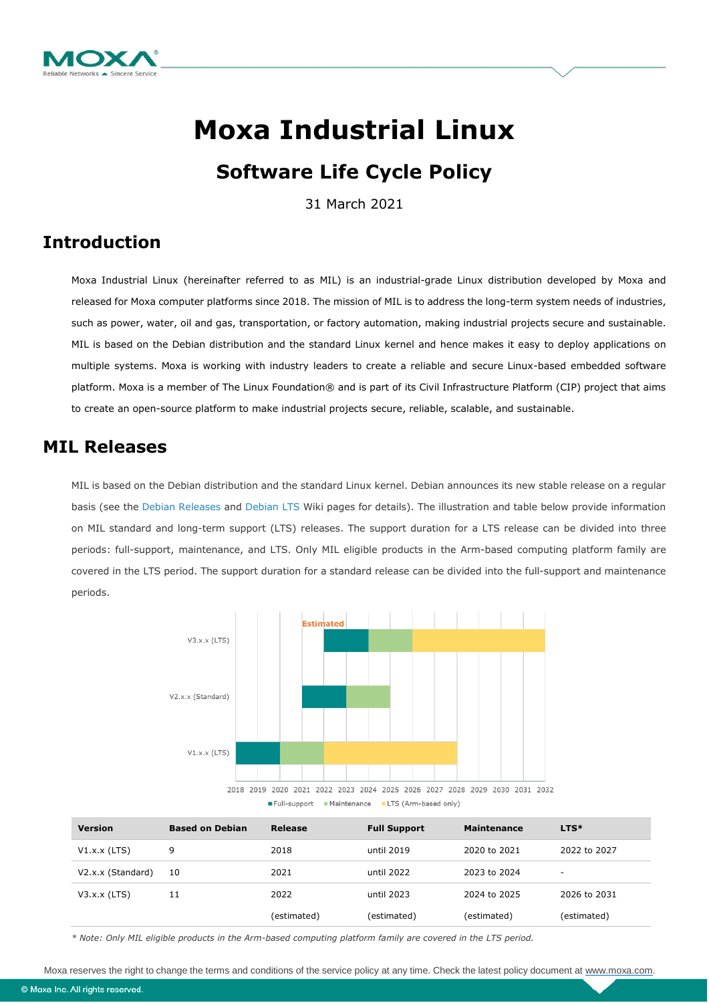

# **Moxa Industrial Linux**

# **Software Life Cycle Policy**

31 March 2021

# **Introduction**

Moxa Industrial Linux (hereinafter referred to as MIL) is an industrial-grade Linux distribution developed by Moxa and released for Moxa computer platforms since 2018. The mission of MIL is to address the long-term system needs of industries, such as power, water, oil and gas, transportation, or factory automation, making industrial projects secure and sustainable. MIL is based on the Debian distribution and the standard Linux kernel and hence makes it easy to deploy applications on multiple systems. Moxa is working with industry leaders to create a reliable and secure Linux-based embedded software platform. Moxa is a member of The Linux Foundation® and is part of its Civil Infrastructure Platform (CIP) project that aims to create an open-source platform to make industrial projects secure, reliable, scalable, and sustainable.

### **MIL Releases**

MIL is based on the Debian distribution and the standard Linux kernel. Debian announces its new stable release on a regular basis (see the [Debian Releases](https://wiki.debian.org/DebianReleases) and [Debian LTS](https://wiki.debian.org/LTS) Wiki pages for details). The illustration and table below provide information on MIL standard and long-term support (LTS) releases. The support duration for a LTS release can be divided into three periods: full-support, maintenance, and LTS. Only MIL eligible products in the Arm-based computing platform family are covered in the LTS period. The support duration for a standard release can be divided into the full-support and maintenance periods.



| <b>Version</b>    | <b>Based on Debian</b> | Release     | <b>Full Support</b> | <b>Maintenance</b> | $LTS*$       |
|-------------------|------------------------|-------------|---------------------|--------------------|--------------|
| $V1.x.x$ (LTS)    | 9                      | 2018        | until 2019          | 2020 to 2021       | 2022 to 2027 |
| V2.x.x (Standard) | 10                     | 2021        | until 2022          | 2023 to 2024       | $\sim$       |
| $V3.x.x$ (LTS)    | 11                     | 2022        | until 2023          | 2024 to 2025       | 2026 to 2031 |
|                   |                        | (estimated) | (estimated)         | (estimated)        | (estimated)  |

*\* Note: Only MIL eligible products in the Arm-based computing platform family are covered in the LTS period.*

Moxa reserves the right to change the terms and conditions of the service policy at any time. Check the latest policy document at [www.moxa.com.](http://www.moxa.com/)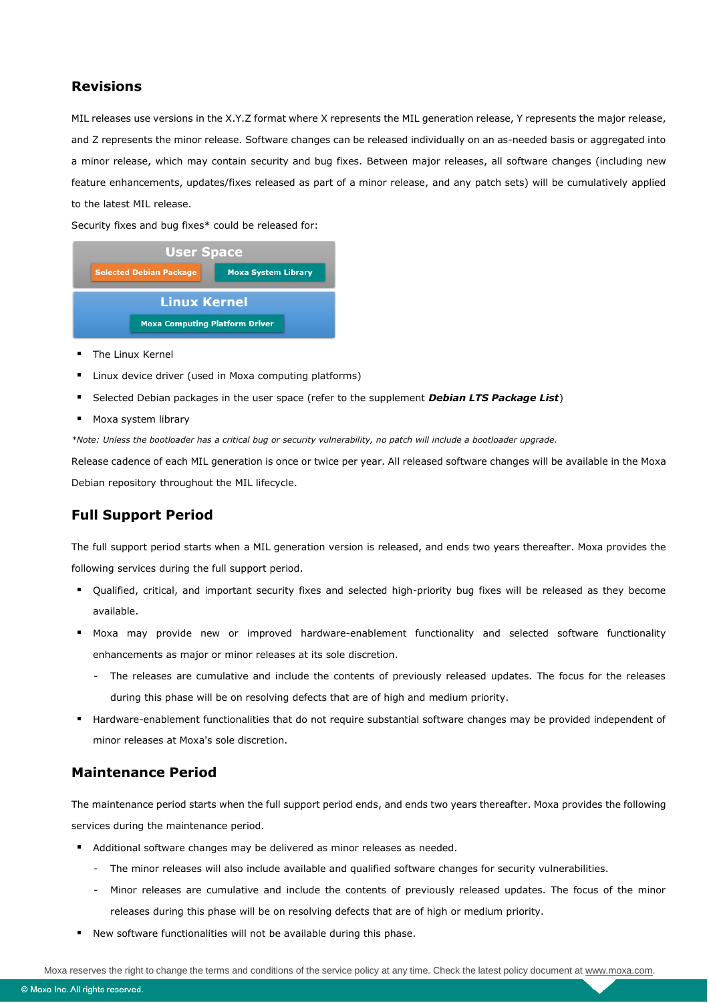#### **Revisions**

MIL releases use versions in the X.Y.Z format where X represents the MIL generation release, Y represents the major release, and Z represents the minor release. Software changes can be released individually on an as-needed basis or aggregated into a minor release, which may contain security and bug fixes. Between major releases, all software changes (including new feature enhancements, updates/fixes released as part of a minor release, and any patch sets) will be cumulatively applied to the latest MIL release.

Security fixes and bug fixes\* could be released for:



- **The Linux Kernel**
- Linux device driver (used in Moxa computing platforms)
- Selected Debian packages in the user space (refer to the supplement *Debian LTS Package List*)
- Moxa system library

*\*Note: Unless the bootloader has a critical bug or security vulnerability, no patch will include a bootloader upgrade.*

Release cadence of each MIL generation is once or twice per year. All released software changes will be available in the Moxa Debian repository throughout the MIL lifecycle.

#### **Full Support Period**

The full support period starts when a MIL generation version is released, and ends two years thereafter. Moxa provides the following services during the full support period.

- Qualified, critical, and important security fixes and selected high-priority bug fixes will be released as they become available.
- Moxa may provide new or improved hardware-enablement functionality and selected software functionality enhancements as major or minor releases at its sole discretion.
	- The releases are cumulative and include the contents of previously released updates. The focus for the releases during this phase will be on resolving defects that are of high and medium priority.
- Hardware-enablement functionalities that do not require substantial software changes may be provided independent of minor releases at Moxa's sole discretion.

#### **Maintenance Period**

The maintenance period starts when the full support period ends, and ends two years thereafter. Moxa provides the following services during the maintenance period.

- Additional software changes may be delivered as minor releases as needed.
	- The minor releases will also include available and qualified software changes for security vulnerabilities.
	- Minor releases are cumulative and include the contents of previously released updates. The focus of the minor releases during this phase will be on resolving defects that are of high or medium priority.
- New software functionalities will not be available during this phase.

Moxa reserves the right to change the terms and conditions of the service policy at any time. Check the latest policy document at [www.moxa.com.](http://www.moxa.com/)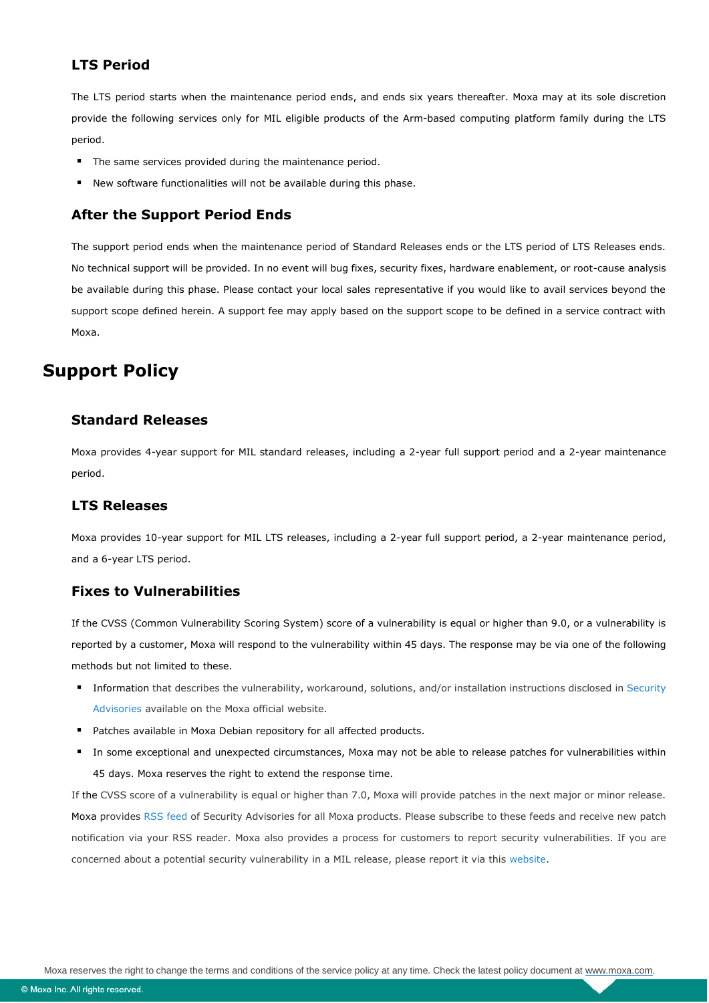#### **LTS Period**

The LTS period starts when the maintenance period ends, and ends six years thereafter. Moxa may at its sole discretion provide the following services only for MIL eligible products of the Arm-based computing platform family during the LTS period.

- **The same services provided during the maintenance period.**
- New software functionalities will not be available during this phase.

#### **After the Support Period Ends**

The support period ends when the maintenance period of Standard Releases ends or the LTS period of LTS Releases ends. No technical support will be provided. In no event will bug fixes, security fixes, hardware enablement, or root-cause analysis be available during this phase. Please contact your local sales representative if you would like to avail services beyond the support scope defined herein. A support fee may apply based on the support scope to be defined in a service contract with Moxa.

## **Support Policy**

#### **Standard Releases**

Moxa provides 4-year support for MIL standard releases, including a 2-year full support period and a 2-year maintenance period.

#### **LTS Releases**

Moxa provides 10-year support for MIL LTS releases, including a 2-year full support period, a 2-year maintenance period, and a 6-year LTS period.

#### **Fixes to Vulnerabilities**

If the CVSS (Common Vulnerability Scoring System) score of a vulnerability is equal or higher than 9.0, or a vulnerability is reported by a customer, Moxa will respond to the vulnerability within 45 days. The response may be via one of the following methods but not limited to these.

- Information that describes the vulnerability, workaround, solutions, and/or installation instructions disclosed in [Security](https://www.moxa.com/en/support/product-support/security-advisory)  [Advisories](https://www.moxa.com/en/support/product-support/security-advisory) available on the Moxa official website.
- **Patches available in Moxa Debian repository for all affected products.**
- In some exceptional and unexpected circumstances, Moxa may not be able to release patches for vulnerabilities within 45 days. Moxa reserves the right to extend the response time.

If the CVSS score of a vulnerability is equal or higher than 7.0, Moxa will provide patches in the next major or minor release. Moxa provides [RSS feed](https://www.moxa.com/en/rss) of Security Advisories for all Moxa products. Please subscribe to these feeds and receive new patch notification via your RSS reader. Moxa also provides a process for customers to report security vulnerabilities. If you are concerned about a potential security vulnerability in a MIL release, please report it via this [website.](https://www.moxa.com/en/support/product-support/security-advisory/report-a-vulnerability)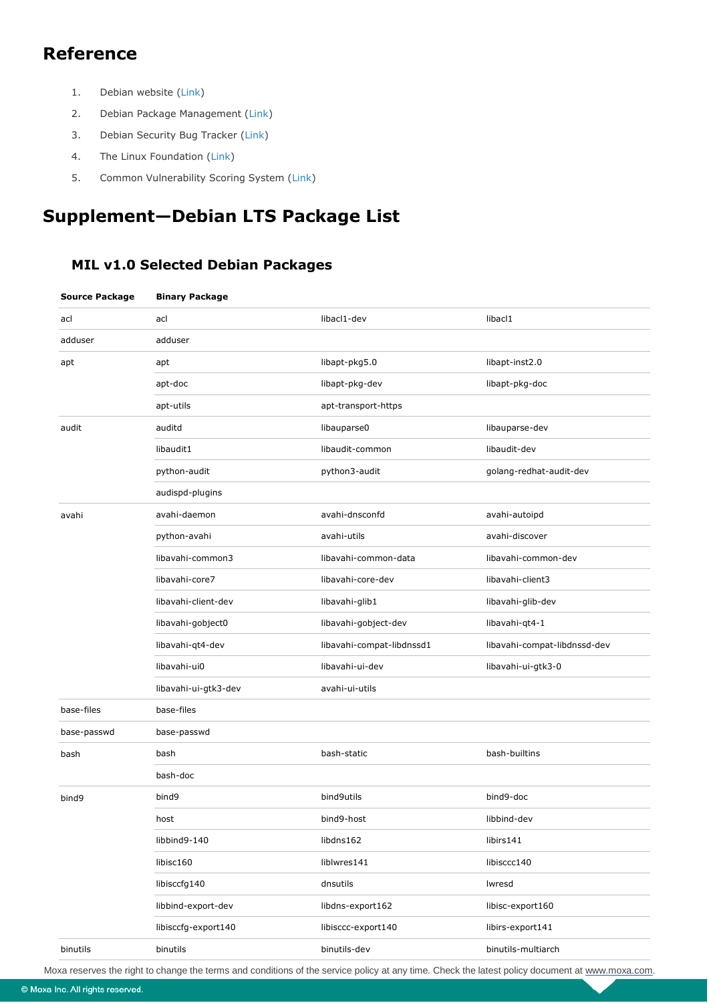# **Reference**

- 1. Debian website [\(Link\)](https://www.debian.org/)
- 2. Debian Package Management [\(Link\)](https://www.debian.org/doc/manuals/debian-reference/ch02.en.html)
- 3. Debian Security Bug Tracker [\(Link\)](https://security-tracker.debian.org/tracker/)
- 4. The Linux Foundation [\(Link\)](https://www.linuxfoundation.org/#linux-kernel)
- 5. Common Vulnerability Scoring System ([Link](https://www.first.org/cvss/))

# **Supplement—Debian LTS Package List**

#### **MIL v1.0 Selected Debian Packages**

| <b>Source Package</b> | <b>Binary Package</b> |                           |                              |
|-----------------------|-----------------------|---------------------------|------------------------------|
| acl                   | acl                   | libacl1-dev               | libacl1                      |
| adduser               | adduser               |                           |                              |
| apt                   | apt                   | libapt-pkg5.0             | libapt-inst2.0               |
|                       | apt-doc               | libapt-pkg-dev            | libapt-pkg-doc               |
|                       | apt-utils             | apt-transport-https       |                              |
| audit                 | auditd                | libauparse0               | libauparse-dev               |
|                       | libaudit1             | libaudit-common           | libaudit-dev                 |
|                       | python-audit          | python3-audit             | golang-redhat-audit-dev      |
|                       | audispd-plugins       |                           |                              |
| avahi                 | avahi-daemon          | avahi-dnsconfd            | avahi-autoipd                |
|                       | python-avahi          | avahi-utils               | avahi-discover               |
|                       | libavahi-common3      | libavahi-common-data      | libavahi-common-dev          |
|                       | libavahi-core7        | libavahi-core-dev         | libavahi-client3             |
|                       | libavahi-client-dev   | libavahi-glib1            | libavahi-glib-dev            |
|                       | libavahi-gobject0     | libavahi-gobject-dev      | libavahi-qt4-1               |
|                       | libavahi-qt4-dev      | libavahi-compat-libdnssd1 | libavahi-compat-libdnssd-dev |
|                       | libavahi-ui0          | libavahi-ui-dev           | libavahi-ui-gtk3-0           |
|                       | libavahi-ui-gtk3-dev  | avahi-ui-utils            |                              |
| base-files            | base-files            |                           |                              |
| base-passwd           | base-passwd           |                           |                              |
| bash                  | bash                  | bash-static               | bash-builtins                |
|                       | bash-doc              |                           |                              |
| bind9                 | bind9                 | bind9utils                | bind9-doc                    |
|                       | host                  | bind9-host                | libbind-dev                  |
|                       | libbind9-140          | libdns162                 | libirs141                    |
|                       | libisc160             | liblwres141               | libisccc140                  |
|                       | libisccfg140          | dnsutils                  | Iwresd                       |
|                       | libbind-export-dev    | libdns-export162          | libisc-export160             |
|                       | libisccfq-export140   | libisccc-export140        | libirs-export141             |
| binutils              | binutils              | binutils-dev              | binutils-multiarch           |

Moxa reserves the right to change the terms and conditions of the service policy at any time. Check the latest policy document at [www.moxa.com.](http://www.moxa.com/)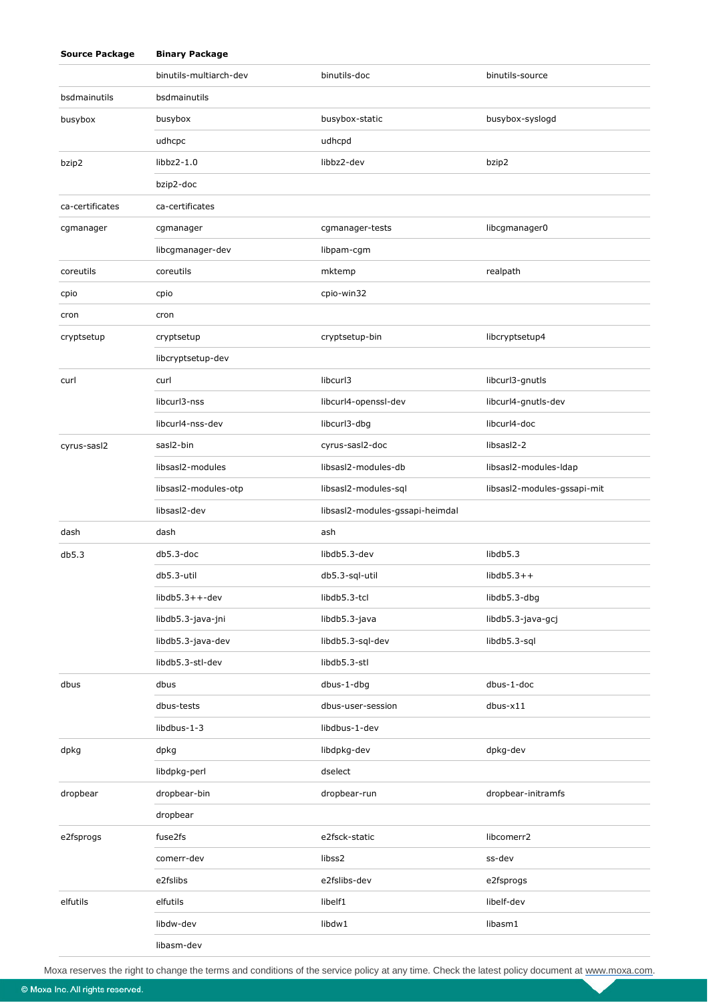| <b>Source Package</b> | <b>Binary Package</b>  |                                 |                             |
|-----------------------|------------------------|---------------------------------|-----------------------------|
|                       | binutils-multiarch-dev | binutils-doc                    | binutils-source             |
| bsdmainutils          | bsdmainutils           |                                 |                             |
| busybox               | busybox                | busybox-static                  | busybox-syslogd             |
|                       | udhcpc                 | udhcpd                          |                             |
| bzip2                 | $libbz2-1.0$           | libbz2-dev                      | bzip2                       |
|                       | bzip2-doc              |                                 |                             |
| ca-certificates       | ca-certificates        |                                 |                             |
| cgmanager             | cgmanager              | cgmanager-tests                 | libcgmanager0               |
|                       | libcgmanager-dev       | libpam-cgm                      |                             |
| coreutils             | coreutils              | mktemp                          | realpath                    |
| cpio                  | cpio                   | cpio-win32                      |                             |
| cron                  | cron                   |                                 |                             |
| cryptsetup            | cryptsetup             | cryptsetup-bin                  | libcryptsetup4              |
|                       | libcryptsetup-dev      |                                 |                             |
| curl                  | curl                   | libcurl3                        | libcurl3-gnutls             |
|                       | libcurl3-nss           | libcurl4-openssl-dev            | libcurl4-gnutls-dev         |
|                       | libcurl4-nss-dev       | libcurl3-dbg                    | libcurl4-doc                |
| cyrus-sasl2           | sasl2-bin              | cyrus-sasl2-doc                 | libsasl2-2                  |
|                       | libsasl2-modules       | libsasl2-modules-db             | libsasl2-modules-Idap       |
|                       | libsasl2-modules-otp   | libsasl2-modules-sql            | libsasl2-modules-gssapi-mit |
|                       | libsasl2-dev           | libsasl2-modules-gssapi-heimdal |                             |
| dash                  | dash                   | ash                             |                             |
| db5.3                 | db5.3-doc              | libdb5.3-dev                    | libdb <sub>5.3</sub>        |
|                       | db5.3-util             | db5.3-sql-util                  | $libdb5.3++$                |
|                       | $libdb5.3++-dev$       | libdb5.3-tcl                    | libdb5.3-dbg                |
|                       | libdb5.3-java-jni      | libdb5.3-java                   | libdb5.3-java-gcj           |
|                       | libdb5.3-java-dev      | libdb5.3-sql-dev                | libdb5.3-sql                |
|                       | libdb5.3-stl-dev       | libdb5.3-stl                    |                             |
| dbus                  | dbus                   | dbus-1-dbg                      | dbus-1-doc                  |
|                       | dbus-tests             | dbus-user-session               | $d$ bus- $x11$              |
|                       | libdbus-1-3            | libdbus-1-dev                   |                             |
| dpkg                  | dpkg                   | libdpkg-dev                     | dpkg-dev                    |
|                       | libdpkg-perl           | dselect                         |                             |
| dropbear              | dropbear-bin           | dropbear-run                    | dropbear-initramfs          |
|                       | dropbear               |                                 |                             |
| e2fsprogs             | fuse2fs                | e2fsck-static                   | libcomerr2                  |
|                       | comerr-dev             | libss2                          | ss-dev                      |
|                       | e2fslibs               | e2fslibs-dev                    | e2fsprogs                   |
| elfutils              | elfutils               | libelf1                         | libelf-dev                  |
|                       | libdw-dev              | libdw1                          | libasm1                     |
|                       | libasm-dev             |                                 |                             |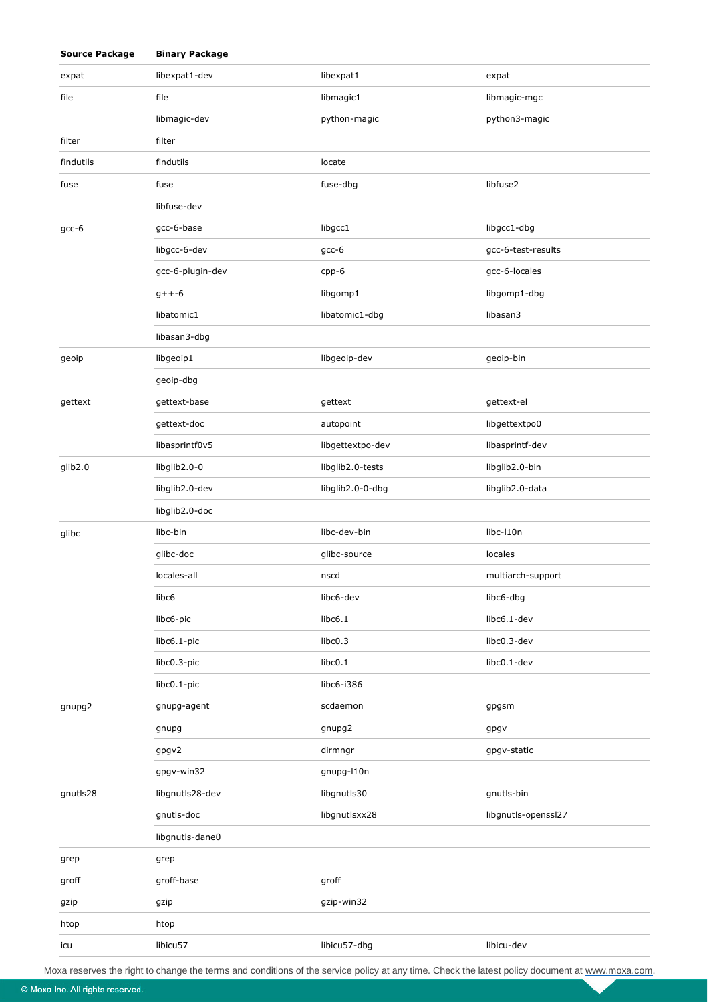| <b>Source Package</b> | <b>Binary Package</b> |                  |                     |
|-----------------------|-----------------------|------------------|---------------------|
| expat                 | libexpat1-dev         | libexpat1        | expat               |
| file                  | file                  | libmagic1        | libmagic-mgc        |
|                       | libmagic-dev          | python-magic     | python3-magic       |
| filter                | filter                |                  |                     |
| findutils             | findutils             | locate           |                     |
| fuse                  | fuse                  | fuse-dbg         | libfuse2            |
|                       | libfuse-dev           |                  |                     |
| $gcc-6$               | gcc-6-base            | libgcc1          | libgcc1-dbg         |
|                       | libgcc-6-dev          | $gcc-6$          | gcc-6-test-results  |
|                       | gcc-6-plugin-dev      | cpp-6            | gcc-6-locales       |
|                       | $g++-6$               | libgomp1         | libgomp1-dbg        |
|                       | libatomic1            | libatomic1-dbg   | libasan3            |
|                       | libasan3-dbg          |                  |                     |
| geoip                 | libgeoip1             | libgeoip-dev     | geoip-bin           |
|                       | geoip-dbg             |                  |                     |
| gettext               | gettext-base          | gettext          | gettext-el          |
|                       | gettext-doc           | autopoint        | libgettextpo0       |
|                       | libasprintf0v5        | libgettextpo-dev | libasprintf-dev     |
| glib2.0               | libglib2.0-0          | libglib2.0-tests | libglib2.0-bin      |
|                       | libglib2.0-dev        | libglib2.0-0-dbg | libglib2.0-data     |
|                       | libglib2.0-doc        |                  |                     |
| glibc                 | libc-bin              | libc-dev-bin     | libc-l10n           |
|                       | glibc-doc             | glibc-source     | locales             |
|                       | locales-all           | nscd             | multiarch-support   |
|                       | libc6                 | libc6-dev        | libc6-dbg           |
|                       | libc6-pic             | libc6.1          | libc6.1-dev         |
|                       | libc6.1-pic           | libc0.3          | libc0.3-dev         |
|                       | libc0.3-pic           | libc0.1          | libc0.1-dev         |
|                       | libc0.1-pic           | libc6-i386       |                     |
| gnupg2                | gnupg-agent           | scdaemon         | gpgsm               |
|                       | gnupg                 | gnupg2           | gpgv                |
|                       | gpgv2                 | dirmngr          | gpgv-static         |
|                       | gpgv-win32            | gnupg-l10n       |                     |
| gnutls28              | libgnutls28-dev       | libgnutls30      | gnutls-bin          |
|                       | gnutls-doc            | libgnutlsxx28    | libgnutls-openssl27 |
|                       | libgnutls-dane0       |                  |                     |
| grep                  | grep                  |                  |                     |
| groff                 | groff-base            | groff            |                     |
| gzip                  | gzip                  | gzip-win32       |                     |
| htop                  | htop                  |                  |                     |
| icu                   | libicu57              | libicu57-dbg     | libicu-dev          |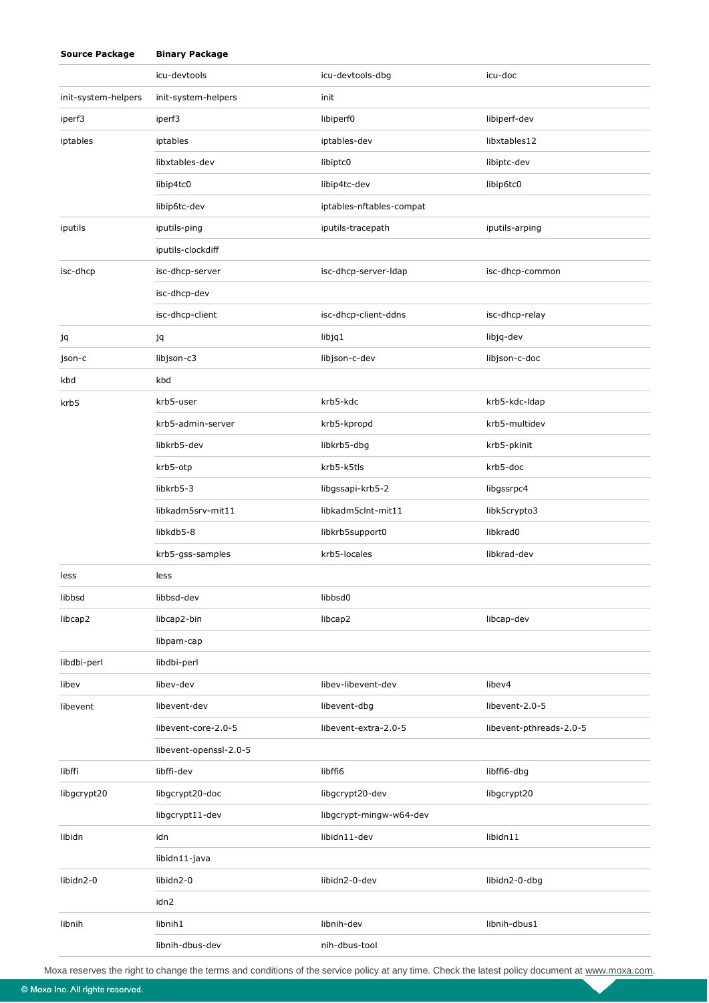|                     | icu-devtools           | icu-devtools-dbg         | icu-doc                 |
|---------------------|------------------------|--------------------------|-------------------------|
| init-system-helpers | init-system-helpers    | init                     |                         |
| iperf3              | iperf3                 | libiperf0                | libiperf-dev            |
| iptables            | iptables               | iptables-dev             | libxtables12            |
|                     | libxtables-dev         | libiptc0                 | libiptc-dev             |
|                     | libip4tc0              | libip4tc-dev             | libip6tc0               |
|                     | libip6tc-dev           | iptables-nftables-compat |                         |
| iputils             | iputils-ping           | iputils-tracepath        | iputils-arping          |
|                     | iputils-clockdiff      |                          |                         |
| isc-dhcp            | isc-dhcp-server        | isc-dhcp-server-Idap     | isc-dhcp-common         |
|                     | isc-dhcp-dev           |                          |                         |
|                     | isc-dhcp-client        | isc-dhcp-client-ddns     | isc-dhcp-relay          |
| jq                  | jq                     | libjq1                   | libjq-dev               |
| json-c              | libjson-c3             | libjson-c-dev            | libjson-c-doc           |
| kbd                 | kbd                    |                          |                         |
| krb5                | krb5-user              | krb5-kdc                 | krb5-kdc-ldap           |
|                     | krb5-admin-server      | krb5-kpropd              | krb5-multidev           |
|                     | libkrb5-dev            | libkrb5-dbg              | krb5-pkinit             |
|                     | krb5-otp               | krb5-k5tls               | krb5-doc                |
|                     | libkrb5-3              | libgssapi-krb5-2         | libgssrpc4              |
|                     | libkadm5srv-mit11      | libkadm5clnt-mit11       | libk5crypto3            |
|                     | libkdb5-8              | libkrb5support0          | libkrad0                |
|                     | krb5-gss-samples       | krb5-locales             | libkrad-dev             |
| less                | less                   |                          |                         |
| libbsd              | libbsd-dev             | libbsd0                  |                         |
| libcap2             | libcap2-bin            | libcap2                  | libcap-dev              |
|                     | libpam-cap             |                          |                         |
| libdbi-perl         | libdbi-perl            |                          |                         |
| libev               | libev-dev              | libev-libevent-dev       | libev4                  |
| libevent            | libevent-dev           | libevent-dbg             | libevent-2.0-5          |
|                     | libevent-core-2.0-5    | libevent-extra-2.0-5     | libevent-pthreads-2.0-5 |
|                     | libevent-openssl-2.0-5 |                          |                         |
| libffi              | libffi-dev             | libffi6                  | libffi6-dbg             |
| libgcrypt20         | libgcrypt20-doc        | libgcrypt20-dev          | libgcrypt20             |
|                     | libgcrypt11-dev        | libgcrypt-mingw-w64-dev  |                         |
| libidn              | idn                    | libidn11-dev             | libidn11                |
|                     | libidn11-java          |                          |                         |
| libidn2-0           | libidn2-0              | libidn2-0-dev            | libidn2-0-dbg           |
|                     | idn2                   |                          |                         |
| libnih              | libnih1                | libnih-dev               | libnih-dbus1            |
|                     | libnih-dbus-dev        | nih-dbus-tool            |                         |

© Moxa Inc. All rights reserved.

**Source Package Binary Package**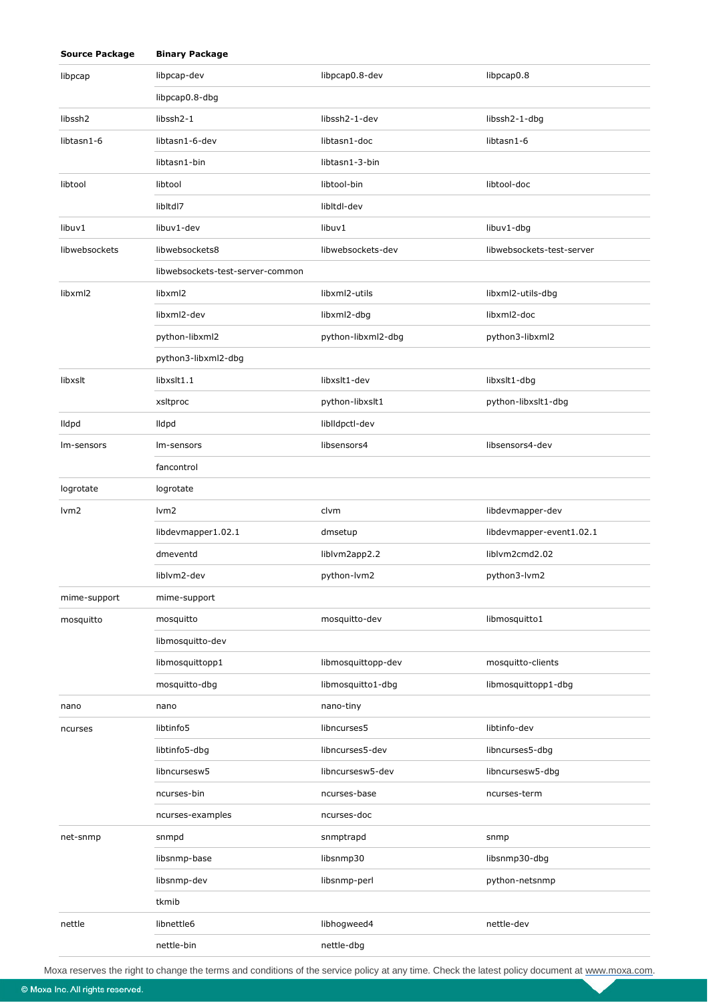| <b>Source Package</b> | <b>Binary Package</b>            |                    |                           |
|-----------------------|----------------------------------|--------------------|---------------------------|
| libpcap               | libpcap-dev                      | libpcap0.8-dev     | libpcap0.8                |
|                       | libpcap0.8-dbg                   |                    |                           |
| libssh <sub>2</sub>   | libssh <sub>2</sub> -1           | libssh2-1-dev      | libssh2-1-dbg             |
| libtasn1-6            | libtasn1-6-dev                   | libtasn1-doc       | libtasn1-6                |
|                       | libtasn1-bin                     | libtasn1-3-bin     |                           |
| libtool               | libtool                          | libtool-bin        | libtool-doc               |
|                       | libltdl7                         | libltdl-dev        |                           |
| libuv1                | libuv1-dev                       | libuv1             | libuv1-dbg                |
| libwebsockets         | libwebsockets8                   | libwebsockets-dev  | libwebsockets-test-server |
|                       | libwebsockets-test-server-common |                    |                           |
| libxml <sub>2</sub>   | libxml2                          | libxml2-utils      | libxml2-utils-dbg         |
|                       | libxml2-dev                      | libxml2-dbg        | libxml2-doc               |
|                       | python-libxml2                   | python-libxml2-dbg | python3-libxml2           |
|                       | python3-libxml2-dbg              |                    |                           |
| libxslt               | libxslt1.1                       | libxslt1-dev       | libxslt1-dbg              |
|                       | xsitproc                         | python-libxslt1    | python-libxslt1-dbg       |
| lldpd                 | <b>Ildpd</b>                     | liblldpctl-dev     |                           |
| Im-sensors            | Im-sensors                       | libsensors4        | libsensors4-dev           |
|                       | fancontrol                       |                    |                           |
| logrotate             | logrotate                        |                    |                           |
| lvm <sub>2</sub>      | lvm <sub>2</sub>                 | clvm               | libdevmapper-dev          |
|                       | libdevmapper1.02.1               | dmsetup            | libdevmapper-event1.02.1  |
|                       | dmeventd                         | liblvm2app2.2      | liblvm2cmd2.02            |
|                       | liblvm2-dev                      | python-lvm2        | python3-lvm2              |
| mime-support          | mime-support                     |                    |                           |
| mosquitto             | mosquitto                        | mosquitto-dev      | libmosquitto1             |
|                       | libmosquitto-dev                 |                    |                           |
|                       | libmosquittopp1                  | libmosquittopp-dev | mosquitto-clients         |
|                       | mosquitto-dbg                    | libmosquitto1-dbg  | libmosquittopp1-dbg       |
| nano                  | nano                             | nano-tiny          |                           |
| ncurses               | libtinfo5                        | libncurses5        | libtinfo-dev              |
|                       | libtinfo5-dbg                    | libncurses5-dev    | libncurses5-dbg           |
|                       | libncursesw5                     | libncursesw5-dev   | libncursesw5-dbg          |
|                       | ncurses-bin                      | ncurses-base       | ncurses-term              |
|                       | ncurses-examples                 | ncurses-doc        |                           |
| net-snmp              | snmpd                            | snmptrapd          | snmp                      |
|                       | libsnmp-base                     | libsnmp30          | libsnmp30-dbg             |
|                       | libsnmp-dev                      | libsnmp-perl       | python-netsnmp            |
|                       | tkmib                            |                    |                           |
| nettle                | libnettle6                       | libhogweed4        | nettle-dev                |
|                       | nettle-bin                       | nettle-dbg         |                           |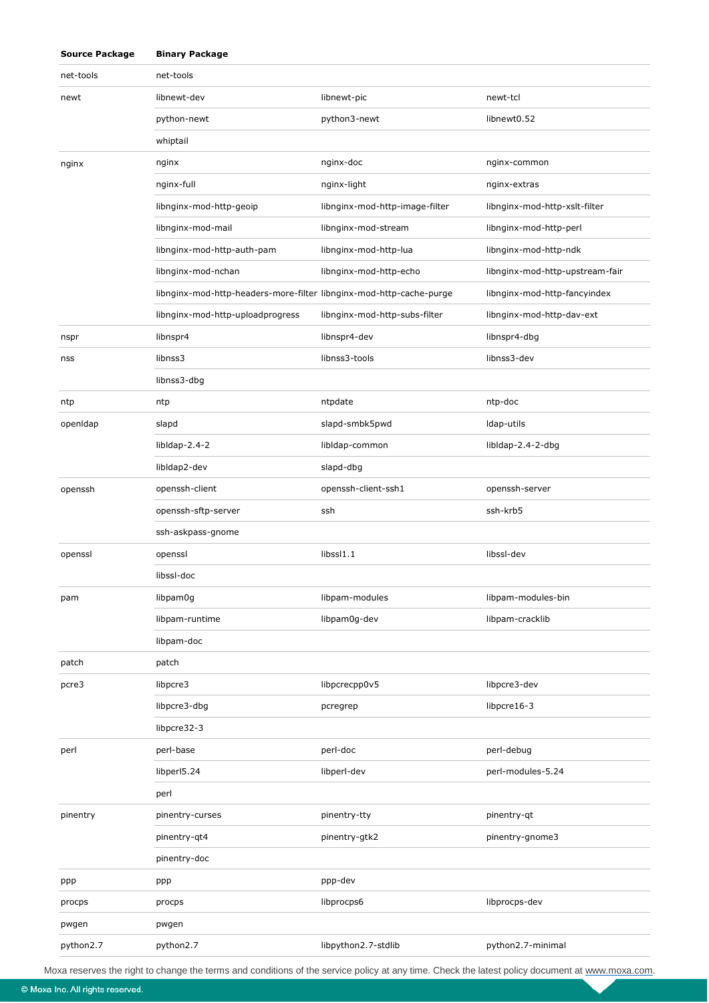| net-tools | net-tools                                                           |                                |                                 |
|-----------|---------------------------------------------------------------------|--------------------------------|---------------------------------|
| newt      | libnewt-dev                                                         | libnewt-pic                    | newt-tcl                        |
|           | python-newt                                                         | python3-newt                   | libnewt0.52                     |
|           | whiptail                                                            |                                |                                 |
| nginx     | nginx                                                               | nginx-doc                      | nginx-common                    |
|           | nginx-full                                                          | nginx-light                    | nginx-extras                    |
|           | libnginx-mod-http-geoip                                             | libnginx-mod-http-image-filter | libnginx-mod-http-xslt-filter   |
|           | libnginx-mod-mail                                                   | libnginx-mod-stream            | libnginx-mod-http-perl          |
|           | libnginx-mod-http-auth-pam                                          | libnginx-mod-http-lua          | libnginx-mod-http-ndk           |
|           | libnginx-mod-nchan                                                  | libnginx-mod-http-echo         | libnginx-mod-http-upstream-fair |
|           | libnginx-mod-http-headers-more-filter libnginx-mod-http-cache-purge |                                | libnginx-mod-http-fancyindex    |
|           | libnginx-mod-http-uploadprogress                                    | libnginx-mod-http-subs-filter  | libnginx-mod-http-dav-ext       |
| nspr      | libnspr4                                                            | libnspr4-dev                   | libnspr4-dbg                    |
| nss       | libnss3                                                             | libnss3-tools                  | libnss3-dev                     |
|           | libnss3-dbg                                                         |                                |                                 |
| ntp       | ntp                                                                 | ntpdate                        | ntp-doc                         |
| openIdap  | slapd                                                               | slapd-smbk5pwd                 | Idap-utils                      |
|           | libldap-2.4-2                                                       | libldap-common                 | libldap-2.4-2-dbg               |
|           | libldap2-dev                                                        | slapd-dbg                      |                                 |
| openssh   | openssh-client                                                      | openssh-client-ssh1            | openssh-server                  |
|           | openssh-sftp-server                                                 | ssh                            | ssh-krb5                        |
|           | ssh-askpass-gnome                                                   |                                |                                 |
| openssl   | openssl                                                             | libssl1.1                      | libssl-dev                      |
|           | libssl-doc                                                          |                                |                                 |
| pam       | libpam0g                                                            | libpam-modules                 | libpam-modules-bin              |
|           | libpam-runtime                                                      | libpam0q-dev                   | libpam-cracklib                 |
|           | libpam-doc                                                          |                                |                                 |
| patch     | patch                                                               |                                |                                 |
| pcre3     | libpcre3                                                            | libpcrecpp0v5                  | libpcre3-dev                    |
|           | libpcre3-dbg                                                        | pcregrep                       | libpcre16-3                     |
|           | libpcre32-3                                                         |                                |                                 |
| perl      | perl-base                                                           | perl-doc                       | perl-debug                      |
|           | libperl5.24                                                         | libperl-dev                    | perl-modules-5.24               |
|           | perl                                                                |                                |                                 |
| pinentry  | pinentry-curses                                                     | pinentry-tty                   | pinentry-qt                     |
|           | pinentry-qt4                                                        | pinentry-gtk2                  | pinentry-gnome3                 |
|           | pinentry-doc                                                        |                                |                                 |
| ppp       | ppp                                                                 | ppp-dev                        |                                 |
| procps    | procps                                                              | libprocps6                     | libprocps-dev                   |
| pwgen     | pwgen                                                               |                                |                                 |
| python2.7 | python2.7                                                           | libpython2.7-stdlib            | python2.7-minimal               |

© Moxa Inc. All rights reserved.

**Source Package Binary Package**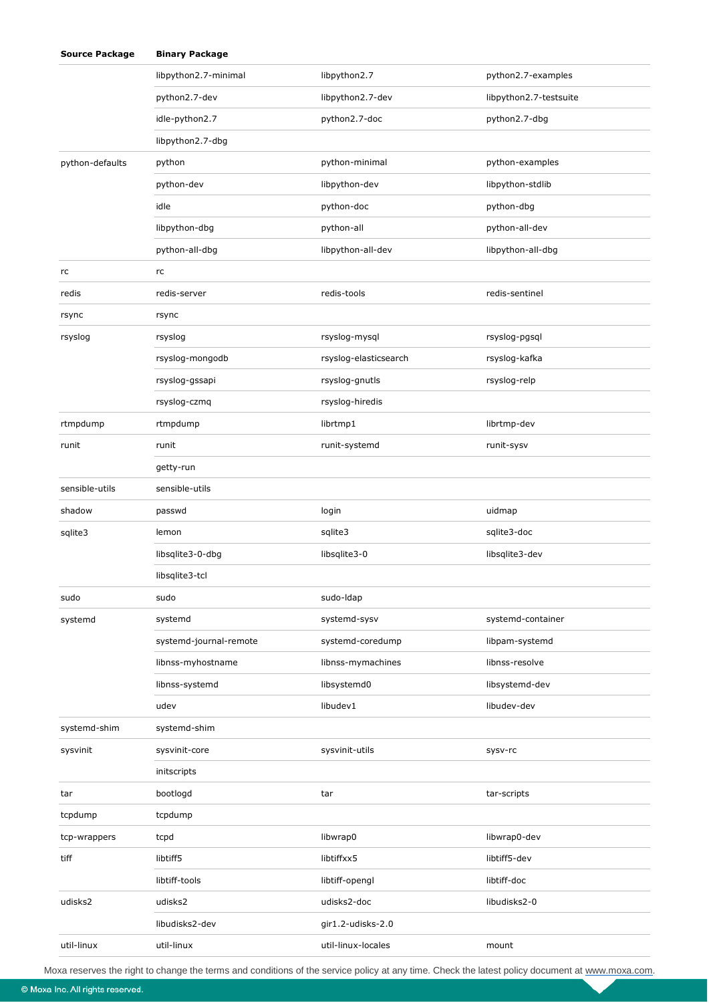| <b>Source Package</b> | <b>Binary Package</b>  |                       |                        |
|-----------------------|------------------------|-----------------------|------------------------|
|                       | libpython2.7-minimal   | libpython2.7          | python2.7-examples     |
|                       | python2.7-dev          | libpython2.7-dev      | libpython2.7-testsuite |
|                       | idle-python2.7         | python2.7-doc         | python2.7-dbg          |
|                       | libpython2.7-dbg       |                       |                        |
| python-defaults       | python                 | python-minimal        | python-examples        |
|                       | python-dev             | libpython-dev         | libpython-stdlib       |
|                       | idle                   | python-doc            | python-dbg             |
|                       | libpython-dbg          | python-all            | python-all-dev         |
|                       | python-all-dbg         | libpython-all-dev     | libpython-all-dbg      |
| rc                    | rc                     |                       |                        |
| redis                 | redis-server           | redis-tools           | redis-sentinel         |
| rsync                 | rsync                  |                       |                        |
| rsyslog               | rsyslog                | rsyslog-mysql         | rsyslog-pgsql          |
|                       | rsyslog-mongodb        | rsyslog-elasticsearch | rsyslog-kafka          |
|                       | rsyslog-gssapi         | rsyslog-gnutls        | rsyslog-relp           |
|                       | rsyslog-czmq           | rsyslog-hiredis       |                        |
| rtmpdump              | rtmpdump               | librtmp1              | librtmp-dev            |
| runit                 | runit                  | runit-systemd         | runit-sysv             |
|                       | getty-run              |                       |                        |
| sensible-utils        | sensible-utils         |                       |                        |
| shadow                | passwd                 | login                 | uidmap                 |
| sqlite3               | lemon                  | sqlite3               | sqlite3-doc            |
|                       | libsqlite3-0-dbg       | libsqlite3-0          | libsqlite3-dev         |
|                       | libsqlite3-tcl         |                       |                        |
| sudo                  | sudo                   | sudo-Idap             |                        |
| systemd               | systemd                | systemd-sysv          | systemd-container      |
|                       | systemd-journal-remote | systemd-coredump      | libpam-systemd         |
|                       | libnss-myhostname      | libnss-mymachines     | libnss-resolve         |
|                       | libnss-systemd         | libsystemd0           | libsystemd-dev         |
|                       | udev                   | libudev1              | libudev-dev            |
| systemd-shim          | systemd-shim           |                       |                        |
| sysvinit              | sysvinit-core          | sysvinit-utils        | sysv-rc                |
|                       | initscripts            |                       |                        |
| tar                   | bootlogd               | tar                   | tar-scripts            |
| tcpdump               | tcpdump                |                       |                        |
| tcp-wrappers          | tcpd                   | libwrap0              | libwrap0-dev           |
| tiff                  | libtiff5               | libtiffxx5            | libtiff5-dev           |
|                       | libtiff-tools          | libtiff-opengl        | libtiff-doc            |
| udisks2               | udisks2                | udisks2-doc           | libudisks2-0           |
|                       | libudisks2-dev         | gir1.2-udisks-2.0     |                        |
| util-linux            | util-linux             | util-linux-locales    | mount                  |